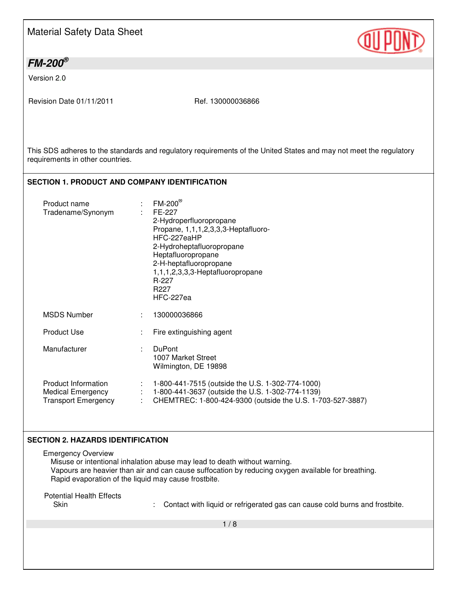| <b>Material Safety Data Sheet</b> |  |
|-----------------------------------|--|
|-----------------------------------|--|

## *FM-200®*

Version 2.0

Revision Date 01/11/2011 Ref. 130000036866

This SDS adheres to the standards and regulatory requirements of the United States and may not meet the regulatory requirements in other countries.

#### **SECTION 1. PRODUCT AND COMPANY IDENTIFICATION**

| Product name<br>Tradename/Synonym                                             |    | $FM-200^{\circledR}$<br>FE-227<br>2-Hydroperfluoropropane<br>Propane, 1,1,1,2,3,3,3-Heptafluoro-<br>HFC-227eaHP<br>2-Hydroheptafluoropropane<br>Heptafluoropropane<br>2-H-heptafluoropropane<br>1,1,1,2,3,3,3-Heptafluoropropane<br>R-227<br>R227<br>HFC-227ea |
|-------------------------------------------------------------------------------|----|----------------------------------------------------------------------------------------------------------------------------------------------------------------------------------------------------------------------------------------------------------------|
| <b>MSDS Number</b>                                                            | ÷. | 130000036866                                                                                                                                                                                                                                                   |
| <b>Product Use</b>                                                            |    | Fire extinguishing agent                                                                                                                                                                                                                                       |
| Manufacturer                                                                  | ÷  | <b>DuPont</b><br>1007 Market Street<br>Wilmington, DE 19898                                                                                                                                                                                                    |
| Product Information<br><b>Medical Emergency</b><br><b>Transport Emergency</b> |    | 1-800-441-7515 (outside the U.S. 1-302-774-1000)<br>1-800-441-3637 (outside the U.S. 1-302-774-1139)<br>CHEMTREC: 1-800-424-9300 (outside the U.S. 1-703-527-3887)                                                                                             |

#### **SECTION 2. HAZARDS IDENTIFICATION**

Emergency Overview

Misuse or intentional inhalation abuse may lead to death without warning. Vapours are heavier than air and can cause suffocation by reducing oxygen available for breathing. Rapid evaporation of the liquid may cause frostbite.

Potential Health Effects

: Contact with liquid or refrigerated gas can cause cold burns and frostbite.

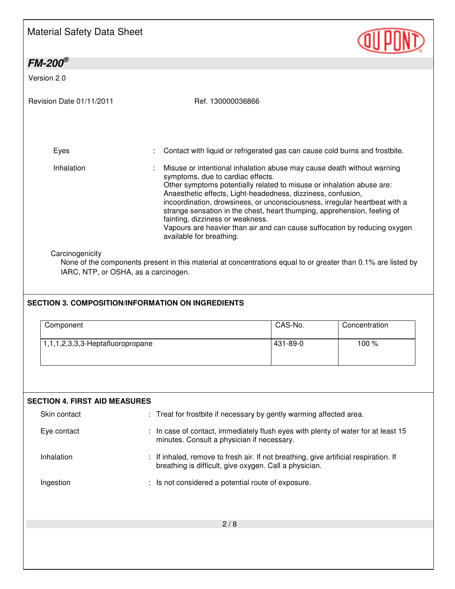| <b>Material Safety Data Sheet</b>                                                                                   |                                                                                                               |                                                                                                                                                                                                                                                                                                                                                                                                                                                        |               |
|---------------------------------------------------------------------------------------------------------------------|---------------------------------------------------------------------------------------------------------------|--------------------------------------------------------------------------------------------------------------------------------------------------------------------------------------------------------------------------------------------------------------------------------------------------------------------------------------------------------------------------------------------------------------------------------------------------------|---------------|
| $FM-200^\circ$                                                                                                      |                                                                                                               |                                                                                                                                                                                                                                                                                                                                                                                                                                                        |               |
| Version 2.0                                                                                                         |                                                                                                               |                                                                                                                                                                                                                                                                                                                                                                                                                                                        |               |
| Revision Date 01/11/2011                                                                                            | Ref. 130000036866                                                                                             |                                                                                                                                                                                                                                                                                                                                                                                                                                                        |               |
| Eyes                                                                                                                |                                                                                                               | Contact with liquid or refrigerated gas can cause cold burns and frostbite.                                                                                                                                                                                                                                                                                                                                                                            |               |
| Inhalation                                                                                                          | symptoms, due to cardiac effects.<br>fainting, dizziness or weakness.<br>available for breathing.             | Misuse or intentional inhalation abuse may cause death without warning<br>Other symptoms potentially related to misuse or inhalation abuse are:<br>Anaesthetic effects, Light-headedness, dizziness, confusion,<br>incoordination, drowsiness, or unconsciousness, irregular heartbeat with a<br>strange sensation in the chest, heart thumping, apprehension, feeling of<br>Vapours are heavier than air and can cause suffocation by reducing oxygen |               |
| Carcinogenicity<br>IARC, NTP, or OSHA, as a carcinogen.<br><b>SECTION 3. COMPOSITION/INFORMATION ON INGREDIENTS</b> | None of the components present in this material at concentrations equal to or greater than 0.1% are listed by |                                                                                                                                                                                                                                                                                                                                                                                                                                                        |               |
| Component                                                                                                           |                                                                                                               | CAS-No.                                                                                                                                                                                                                                                                                                                                                                                                                                                | Concentration |
| 1,1,1,2,3,3,3-Heptafluoropropane                                                                                    |                                                                                                               | 431-89-0                                                                                                                                                                                                                                                                                                                                                                                                                                               | 100 %         |
| <b>SECTION 4. FIRST AID MEASURES</b>                                                                                |                                                                                                               |                                                                                                                                                                                                                                                                                                                                                                                                                                                        |               |
| Skin contact<br>Eye contact                                                                                         | minutes. Consult a physician if necessary.                                                                    | : Treat for frostbite if necessary by gently warming affected area.<br>: In case of contact, immediately flush eyes with plenty of water for at least 15                                                                                                                                                                                                                                                                                               |               |
| Inhalation                                                                                                          |                                                                                                               | : If inhaled, remove to fresh air. If not breathing, give artificial respiration. If<br>breathing is difficult, give oxygen. Call a physician.                                                                                                                                                                                                                                                                                                         |               |
| Ingestion                                                                                                           |                                                                                                               | Is not considered a potential route of exposure.                                                                                                                                                                                                                                                                                                                                                                                                       |               |
|                                                                                                                     |                                                                                                               | 2/8                                                                                                                                                                                                                                                                                                                                                                                                                                                    |               |
|                                                                                                                     |                                                                                                               |                                                                                                                                                                                                                                                                                                                                                                                                                                                        |               |
|                                                                                                                     |                                                                                                               |                                                                                                                                                                                                                                                                                                                                                                                                                                                        |               |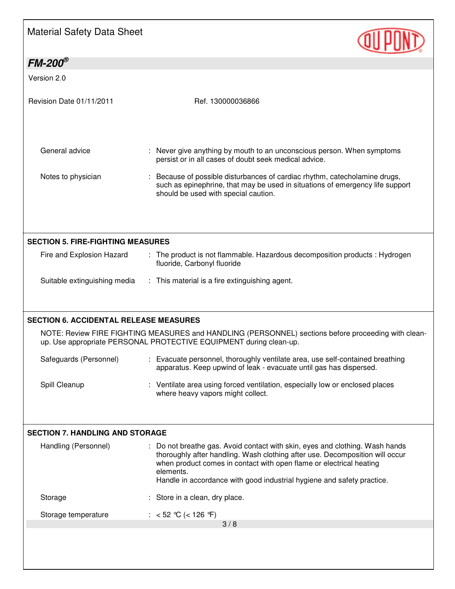# Material Safety Data Sheet

| $FM-200^{\circ}$                                                      |                                                                                                                                                                                                                                                                                                                            |
|-----------------------------------------------------------------------|----------------------------------------------------------------------------------------------------------------------------------------------------------------------------------------------------------------------------------------------------------------------------------------------------------------------------|
| Version 2.0                                                           |                                                                                                                                                                                                                                                                                                                            |
| Revision Date 01/11/2011                                              | Ref. 130000036866                                                                                                                                                                                                                                                                                                          |
| General advice                                                        | : Never give anything by mouth to an unconscious person. When symptoms<br>persist or in all cases of doubt seek medical advice.                                                                                                                                                                                            |
| Notes to physician                                                    | : Because of possible disturbances of cardiac rhythm, catecholamine drugs,<br>such as epinephrine, that may be used in situations of emergency life support<br>should be used with special caution.                                                                                                                        |
| <b>SECTION 5. FIRE-FIGHTING MEASURES</b><br>Fire and Explosion Hazard | : The product is not flammable. Hazardous decomposition products : Hydrogen<br>fluoride, Carbonyl fluoride                                                                                                                                                                                                                 |
|                                                                       |                                                                                                                                                                                                                                                                                                                            |
| Suitable extinguishing media                                          | : This material is a fire extinguishing agent.                                                                                                                                                                                                                                                                             |
| <b>SECTION 6. ACCIDENTAL RELEASE MEASURES</b>                         | up. Use appropriate PERSONAL PROTECTIVE EQUIPMENT during clean-up.                                                                                                                                                                                                                                                         |
| Safeguards (Personnel)                                                | NOTE: Review FIRE FIGHTING MEASURES and HANDLING (PERSONNEL) sections before proceeding with clean-<br>: Evacuate personnel, thoroughly ventilate area, use self-contained breathing<br>apparatus. Keep upwind of leak - evacuate until gas has dispersed.                                                                 |
| Spill Cleanup                                                         | : Ventilate area using forced ventilation, especially low or enclosed places<br>where heavy vapors might collect.                                                                                                                                                                                                          |
|                                                                       |                                                                                                                                                                                                                                                                                                                            |
| <b>SECTION 7. HANDLING AND STORAGE</b><br>Handling (Personnel)        | : Do not breathe gas. Avoid contact with skin, eyes and clothing. Wash hands<br>thoroughly after handling. Wash clothing after use. Decomposition will occur<br>when product comes in contact with open flame or electrical heating<br>elements.<br>Handle in accordance with good industrial hygiene and safety practice. |
| Storage                                                               | : Store in a clean, dry place.                                                                                                                                                                                                                                                                                             |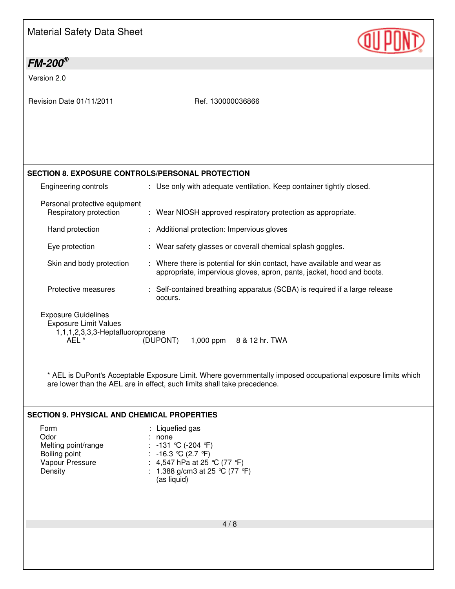| <b>Material Safety Data Sheet</b> |
|-----------------------------------|
|-----------------------------------|

# **QUIPOND**

| $FM-200^\circ$                                                                                          |                                                                                                                                                                                          |
|---------------------------------------------------------------------------------------------------------|------------------------------------------------------------------------------------------------------------------------------------------------------------------------------------------|
| Version 2.0                                                                                             |                                                                                                                                                                                          |
| Revision Date 01/11/2011                                                                                | Ref. 130000036866                                                                                                                                                                        |
| <b>SECTION 8. EXPOSURE CONTROLS/PERSONAL PROTECTION</b>                                                 |                                                                                                                                                                                          |
| Engineering controls                                                                                    | : Use only with adequate ventilation. Keep container tightly closed.                                                                                                                     |
| Personal protective equipment<br>Respiratory protection                                                 | : Wear NIOSH approved respiratory protection as appropriate.                                                                                                                             |
| Hand protection                                                                                         | : Additional protection: Impervious gloves                                                                                                                                               |
| Eye protection                                                                                          | : Wear safety glasses or coverall chemical splash goggles.                                                                                                                               |
| Skin and body protection                                                                                | : Where there is potential for skin contact, have available and wear as<br>appropriate, impervious gloves, apron, pants, jacket, hood and boots.                                         |
| Protective measures                                                                                     | : Self-contained breathing apparatus (SCBA) is required if a large release<br>occurs.                                                                                                    |
| <b>Exposure Guidelines</b><br><b>Exposure Limit Values</b><br>1,1,1,2,3,3,3-Heptafluoropropane<br>AEL * | (DUPONT)<br>1,000 ppm<br>8 & 12 hr. TWA                                                                                                                                                  |
|                                                                                                         | * AEL is DuPont's Acceptable Exposure Limit. Where governmentally imposed occupational exposure limits which<br>are lower than the AEL are in effect, such limits shall take precedence. |
| <b>SECTION 9. PHYSICAL AND CHEMICAL PROPERTIES</b>                                                      |                                                                                                                                                                                          |
| Form<br>Odor<br>Melting point/range<br>Boiling point<br>Vapour Pressure<br>Density                      | : Liquefied gas<br>none<br>-131 ℃ (-204 ℉)<br>: -16.3 ℃ (2.7 °F)<br>: 4,547 hPa at 25 °C (77 °F)<br>: 1.388 g/cm3 at 25 °C (77 °F)<br>(as liquid)                                        |
|                                                                                                         |                                                                                                                                                                                          |
|                                                                                                         | 4/8                                                                                                                                                                                      |
|                                                                                                         |                                                                                                                                                                                          |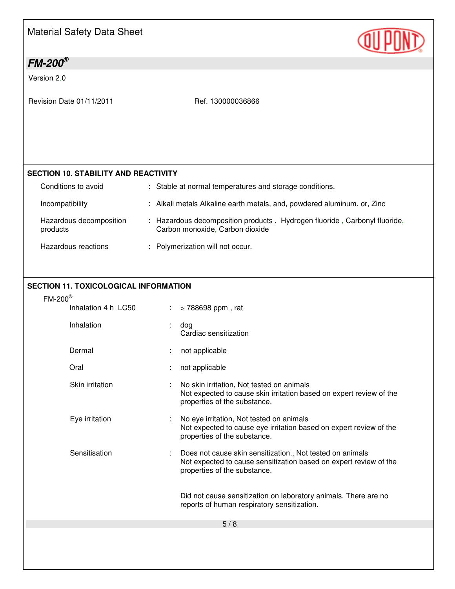| Material Safety Data Sheet |
|----------------------------|
|----------------------------|

## *FM-200®*

Version 2.0

Revision Date 01/11/2011 Ref. 130000036866

### **SECTION 10. STABILITY AND REACTIVITY**

| Conditions to avoid                 | : Stable at normal temperatures and storage conditions.                                                      |  |
|-------------------------------------|--------------------------------------------------------------------------------------------------------------|--|
| Incompatibility                     | : Alkali metals Alkaline earth metals, and, powdered aluminum, or, Zinc                                      |  |
| Hazardous decomposition<br>products | : Hazardous decomposition products, Hydrogen fluoride, Carbonyl fluoride,<br>Carbon monoxide, Carbon dioxide |  |
| Hazardous reactions                 | : Polymerization will not occur.                                                                             |  |

#### **SECTION 11. TOXICOLOGICAL INFORMATION**

## FM-200®

| -200 |                     |    |                                                                                                                                                                |
|------|---------------------|----|----------------------------------------------------------------------------------------------------------------------------------------------------------------|
|      | Inhalation 4 h LC50 | ÷. | > 788698 ppm, rat                                                                                                                                              |
|      | Inhalation          |    | dog<br>Cardiac sensitization                                                                                                                                   |
|      | Dermal              |    | not applicable                                                                                                                                                 |
|      | Oral                |    | not applicable                                                                                                                                                 |
|      | Skin irritation     |    | No skin irritation, Not tested on animals<br>Not expected to cause skin irritation based on expert review of the<br>properties of the substance.               |
|      | Eye irritation      |    | No eye irritation, Not tested on animals<br>Not expected to cause eye irritation based on expert review of the<br>properties of the substance.                 |
|      | Sensitisation       |    | Does not cause skin sensitization., Not tested on animals<br>Not expected to cause sensitization based on expert review of the<br>properties of the substance. |
|      |                     |    | Did not cause sensitization on laboratory animals. There are no<br>reports of human respiratory sensitization.                                                 |
|      |                     |    | 5/8                                                                                                                                                            |
|      |                     |    |                                                                                                                                                                |
|      |                     |    |                                                                                                                                                                |

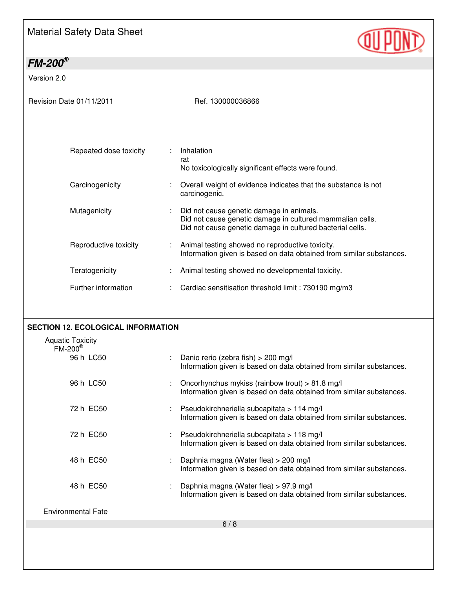# Material Safety Data Sheet

| $FM-200^{\circledS}$                                                 |                                                                                                                                                                    |
|----------------------------------------------------------------------|--------------------------------------------------------------------------------------------------------------------------------------------------------------------|
| Version 2.0                                                          |                                                                                                                                                                    |
| Revision Date 01/11/2011                                             | Ref. 130000036866                                                                                                                                                  |
| Repeated dose toxicity<br>÷                                          | Inhalation<br>rat<br>No toxicologically significant effects were found.                                                                                            |
| Carcinogenicity                                                      | Overall weight of evidence indicates that the substance is not<br>carcinogenic.                                                                                    |
| Mutagenicity                                                         | Did not cause genetic damage in animals.<br>Did not cause genetic damage in cultured mammalian cells.<br>Did not cause genetic damage in cultured bacterial cells. |
| Reproductive toxicity                                                | Animal testing showed no reproductive toxicity.<br>Information given is based on data obtained from similar substances.                                            |
| Teratogenicity                                                       | Animal testing showed no developmental toxicity.                                                                                                                   |
| Further information                                                  | Cardiac sensitisation threshold limit : 730190 mg/m3                                                                                                               |
| <b>SECTION 12. ECOLOGICAL INFORMATION</b><br><b>Aquatic Toxicity</b> |                                                                                                                                                                    |
| $FM-200^{\circledR}$<br>96 h LC50                                    | Danio rerio (zebra fish) > 200 mg/l<br>Information given is based on data obtained from similar substances.                                                        |
| 96 h LC50                                                            | Oncorhynchus mykiss (rainbow trout) > 81.8 mg/l<br>Information given is based on data obtained from similar substances.                                            |
| 72 h EC50                                                            | Pseudokirchneriella subcapitata > 114 mg/l<br>Information given is based on data obtained from similar substances.                                                 |
| 72 h EC50                                                            | Pseudokirchneriella subcapitata > 118 mg/l<br>Information given is based on data obtained from similar substances.                                                 |
| 48 h EC50                                                            | Daphnia magna (Water flea) > 200 mg/l<br>Information given is based on data obtained from similar substances.                                                      |
| 48 h EC50                                                            | Daphnia magna (Water flea) > 97.9 mg/l<br>Information given is based on data obtained from similar substances.                                                     |
| <b>Environmental Fate</b>                                            |                                                                                                                                                                    |
|                                                                      | 6/8                                                                                                                                                                |
|                                                                      |                                                                                                                                                                    |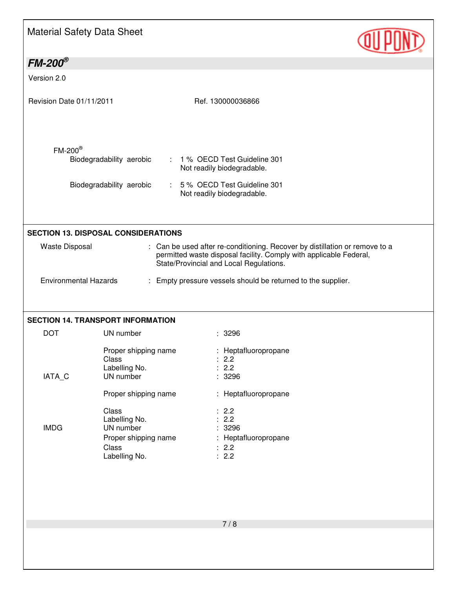# Material Safety Data Sheet

| $FM-200^{\circledast}$                                                                                                                                                                                                                                              |                                                                                                                                                                                   |                                                                     |  |  |  |
|---------------------------------------------------------------------------------------------------------------------------------------------------------------------------------------------------------------------------------------------------------------------|-----------------------------------------------------------------------------------------------------------------------------------------------------------------------------------|---------------------------------------------------------------------|--|--|--|
| Version 2.0                                                                                                                                                                                                                                                         |                                                                                                                                                                                   |                                                                     |  |  |  |
| Revision Date 01/11/2011                                                                                                                                                                                                                                            |                                                                                                                                                                                   | Ref. 130000036866                                                   |  |  |  |
| $FM-200^{\circledR}$                                                                                                                                                                                                                                                | Biodegradability aerobic<br>: 1 % OECD Test Guideline 301<br>Not readily biodegradable.<br>Biodegradability aerobic<br>: 5% OECD Test Guideline 301<br>Not readily biodegradable. |                                                                     |  |  |  |
|                                                                                                                                                                                                                                                                     |                                                                                                                                                                                   |                                                                     |  |  |  |
| <b>SECTION 13. DISPOSAL CONSIDERATIONS</b><br>: Can be used after re-conditioning. Recover by distillation or remove to a<br><b>Waste Disposal</b><br>permitted waste disposal facility. Comply with applicable Federal,<br>State/Provincial and Local Regulations. |                                                                                                                                                                                   |                                                                     |  |  |  |
| <b>Environmental Hazards</b>                                                                                                                                                                                                                                        |                                                                                                                                                                                   | : Empty pressure vessels should be returned to the supplier.        |  |  |  |
|                                                                                                                                                                                                                                                                     |                                                                                                                                                                                   |                                                                     |  |  |  |
|                                                                                                                                                                                                                                                                     | <b>SECTION 14. TRANSPORT INFORMATION</b>                                                                                                                                          |                                                                     |  |  |  |
| <b>DOT</b>                                                                                                                                                                                                                                                          | UN number                                                                                                                                                                         | : 3296                                                              |  |  |  |
| IATA_C                                                                                                                                                                                                                                                              | Proper shipping name<br>Class<br>Labelling No.<br>UN number                                                                                                                       | : Heptafluoropropane<br>: 2.2<br>: 2.2<br>÷<br>3296                 |  |  |  |
|                                                                                                                                                                                                                                                                     | Proper shipping name                                                                                                                                                              | : Heptafluoropropane                                                |  |  |  |
| <b>IMDG</b>                                                                                                                                                                                                                                                         | Class<br>Labelling No.<br>UN number<br>Proper shipping name<br>Class<br>Labelling No.                                                                                             | : 2.2<br>2.2<br>3296<br>Heptafluoropropane<br>÷<br>2.2<br>2.2<br>÷. |  |  |  |
|                                                                                                                                                                                                                                                                     |                                                                                                                                                                                   | 7/8                                                                 |  |  |  |
|                                                                                                                                                                                                                                                                     |                                                                                                                                                                                   |                                                                     |  |  |  |